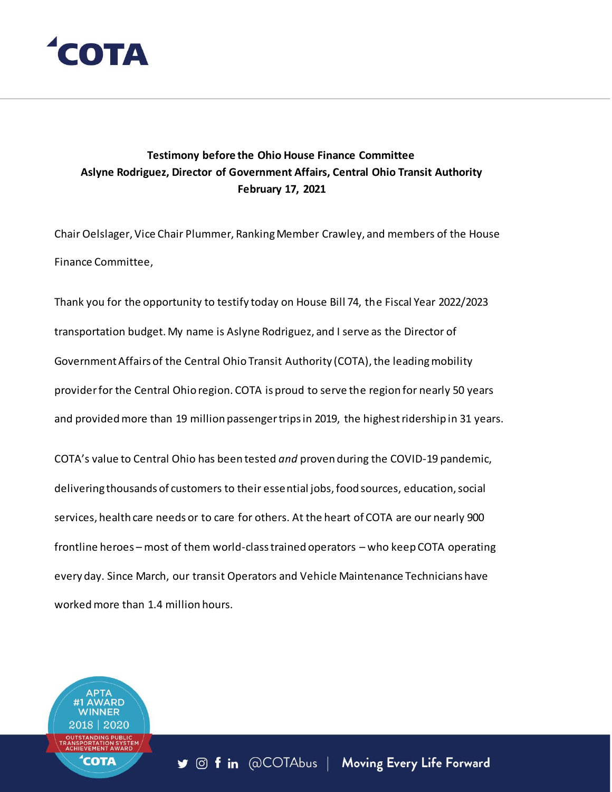

#### **Testimony before the Ohio House Finance Committee Aslyne Rodriguez, Director of Government Affairs, Central Ohio Transit Authority February 17, 2021**

Chair Oelslager, Vice Chair Plummer, Ranking Member Crawley, and members of the House Finance Committee,

Thank you for the opportunity to testify today on House Bill 74, the Fiscal Year 2022/2023 transportation budget. My name is Aslyne Rodriguez, and I serve as the Director of Government Affairs of the Central Ohio Transit Authority (COTA), the leading mobility provider for the Central Ohio region. COTA is proud to serve the region for nearly 50 years and provided more than 19 million passenger trips in 2019, the highest ridership in 31 years.

COTA's value to Central Ohio has been tested *and* proven during the COVID-19 pandemic, delivering thousands of customers to their essential jobs, food sources, education, social services, health care needs or to care for others. At the heart of COTA are our nearly 900 frontline heroes – most of them world-class trained operators – who keep COTA operating every day. Since March, our transit Operators and Vehicle Maintenance Technicians have worked more than 1.4 million hours.

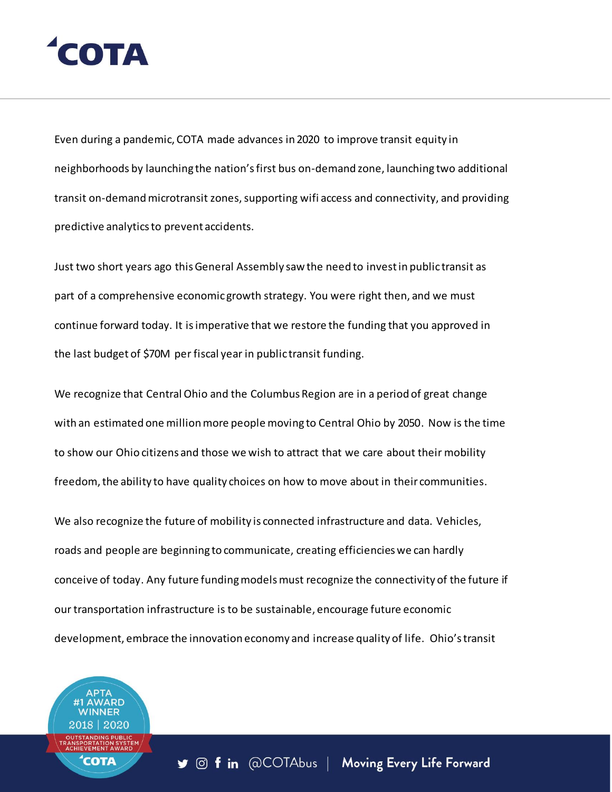## **ОТА**

Even during a pandemic, COTA made advances in 2020 to improve transit equity in neighborhoods by launching the nation's first bus on-demand zone, launching two additional transit on-demand microtransit zones, supporting wifi access and connectivity, and providing predictive analytics to prevent accidents.

Just two short years ago this General Assembly saw the need to invest in public transit as part of a comprehensive economic growth strategy. You were right then, and we must continue forward today. It is imperative that we restore the funding that you approved in the last budget of \$70M per fiscal year in public transit funding.

We recognize that Central Ohio and the Columbus Region are in a period of great change with an estimated one million more people moving to Central Ohio by 2050. Now is the time to show our Ohio citizens and those we wish to attract that we care about their mobility freedom, the ability to have quality choices on how to move about in their communities.

We also recognize the future of mobility is connected infrastructure and data. Vehicles, roads and people are beginning to communicate, creating efficiencies we can hardly conceive of today. Any future funding models must recognize the connectivity of the future if our transportation infrastructure is to be sustainable, encourage future economic development, embrace the innovation economy and increase quality of life. Ohio's transit

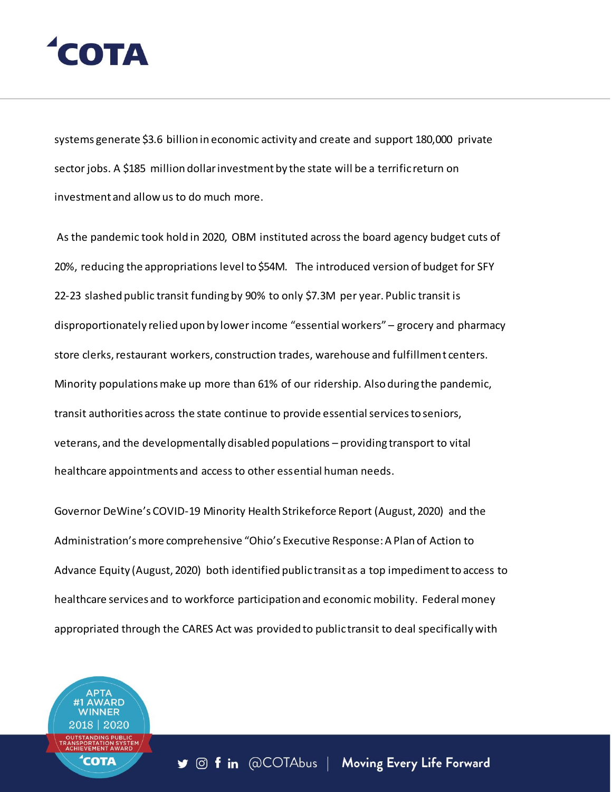## **LOTA**

systems generate \$3.6 billion in economic activity and create and support 180,000 private sector jobs. A \$185 million dollar investment by the state will be a terrific return on investment and allow us to do much more.

As the pandemic took hold in 2020, OBM instituted across the board agency budget cuts of 20%, reducing the appropriations level to \$54M. The introduced version of budget for SFY 22-23 slashed public transit funding by 90% to only \$7.3M per year. Public transit is disproportionately relied upon by lower income "essential workers" – grocery and pharmacy store clerks, restaurant workers, construction trades, warehouse and fulfillment centers. Minority populations make up more than 61% of our ridership. Also during the pandemic, transit authorities across the state continue to provide essential services to seniors, veterans, and the developmentally disabled populations – providing transport to vital healthcare appointments and access to other essential human needs.

Governor DeWine's COVID-19 Minority Health Strikeforce Report (August, 2020) and the Administration's more comprehensive "Ohio's Executive Response: A Plan of Action to Advance Equity (August, 2020) both identified public transit as a top impediment to access to healthcare services and to workforce participation and economic mobility. Federal money appropriated through the CARES Act was provided to public transit to deal specifically with

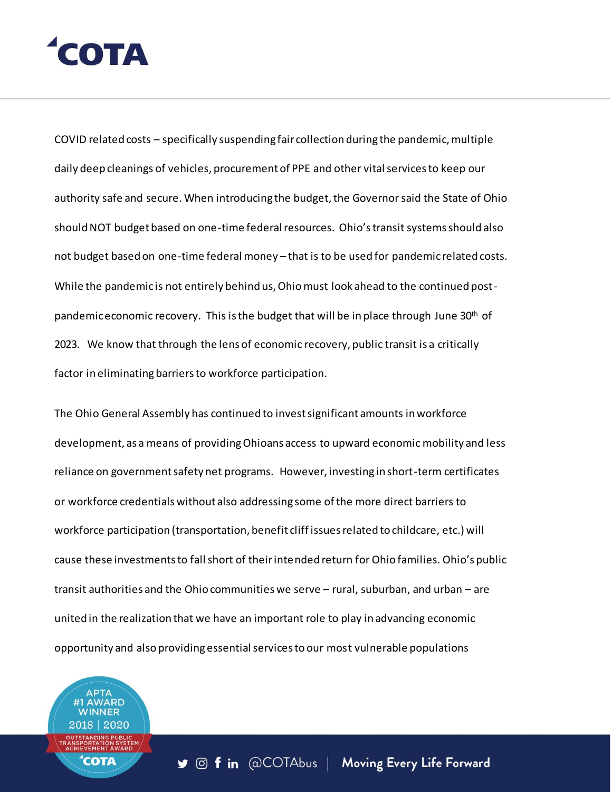# COTA

COVID related costs – specifically suspending fair collection during the pandemic, multiple daily deep cleanings of vehicles, procurement of PPE and other vital services to keep our authority safe and secure. When introducing the budget, the Governor said the State of Ohio should NOT budget based on one-time federal resources. Ohio's transit systems should also not budget based on one-time federal money – that is to be used for pandemic related costs. While the pandemic is not entirely behind us, Ohio must look ahead to the continued postpandemic economic recovery. This is the budget that will be in place through June  $30<sup>th</sup>$  of 2023. We know that through the lens of economic recovery, public transit is a critically factor in eliminating barriers to workforce participation.

The Ohio General Assembly has continued to invest significant amounts in workforce development, as a means of providing Ohioans access to upward economic mobility and less reliance on government safety net programs. However, investing in short-term certificates or workforce credentials without also addressing some of the more direct barriers to workforce participation (transportation, benefit cliff issues related to childcare, etc.) will cause these investments to fall short of their intended return for Ohio families. Ohio's public transit authorities and the Ohio communities we serve – rural, suburban, and urban – are united in the realization that we have an important role to play in advancing economic opportunity and also providing essential services to our most vulnerable populations